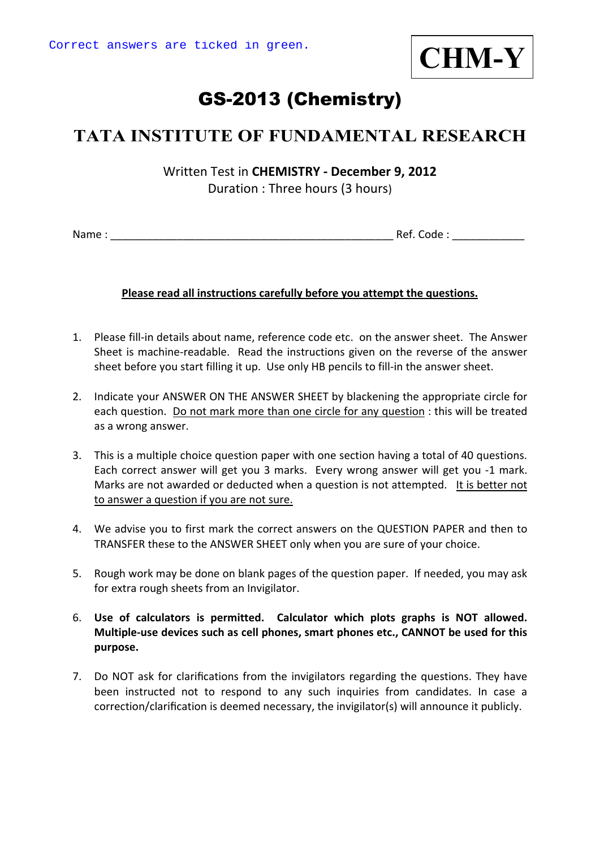

# GS-2013 (Chemistry)

## **TATA INSTITUTE OF FUNDAMENTAL RESEARCH**

Written Test in **CHEMISTRY ‐ December 9, 2012** Duration : Three hours (3 hours)

Name : \_\_\_\_\_\_\_\_\_\_\_\_\_\_\_\_\_\_\_\_\_\_\_\_\_\_\_\_\_\_\_\_\_\_\_\_\_\_\_\_\_\_\_\_\_\_\_ Ref. Code : \_\_\_\_\_\_\_\_\_\_\_\_

#### **Please read all instructions carefully before you attempt the questions.**

- 1. Please fill‐in details about name, reference code etc. on the answer sheet. The Answer Sheet is machine‐readable. Read the instructions given on the reverse of the answer sheet before you start filling it up. Use only HB pencils to fill‐in the answer sheet.
- 2. Indicate your ANSWER ON THE ANSWER SHEET by blackening the appropriate circle for each question. Do not mark more than one circle for any question : this will be treated as a wrong answer.
- 3. This is a multiple choice question paper with one section having a total of 40 questions. Each correct answer will get you 3 marks. Every wrong answer will get you ‐1 mark. Marks are not awarded or deducted when a question is not attempted. It is better not to answer a question if you are not sure.
- 4. We advise you to first mark the correct answers on the QUESTION PAPER and then to TRANSFER these to the ANSWER SHEET only when you are sure of your choice.
- 5. Rough work may be done on blank pages of the question paper. If needed, you may ask for extra rough sheets from an Invigilator.
- 6. **Use of calculators is permitted. Calculator which plots graphs is NOT allowed. Multiple‐use devices such as cell phones, smart phones etc., CANNOT be used for this purpose.**
- 7. Do NOT ask for clarifications from the invigilators regarding the questions. They have been instructed not to respond to any such inquiries from candidates. In case a correction/clarification is deemed necessary, the invigilator(s) will announce it publicly.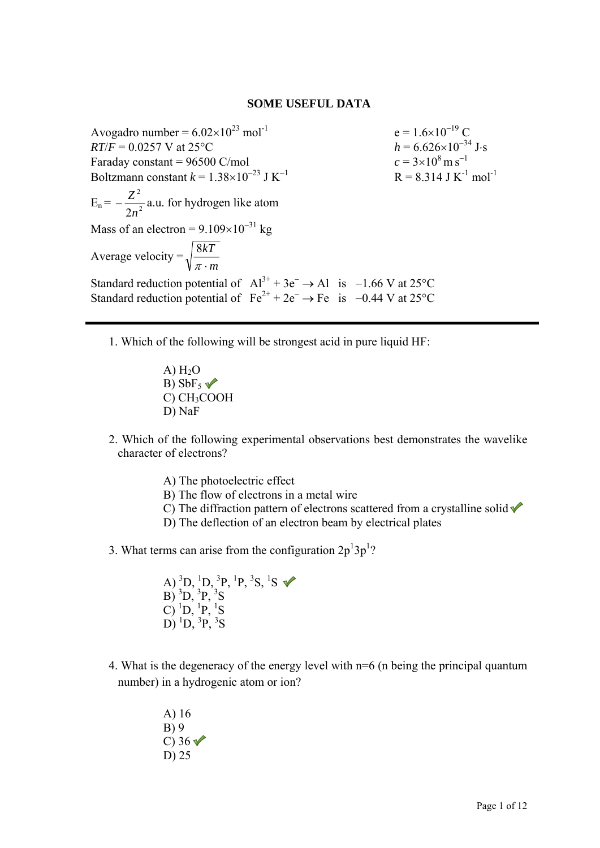#### **SOME USEFUL DATA**

Avogadro number =  $6.02 \times 10^{23}$  mol<sup>-1</sup> e =  $1.6 \times 10^{-19}$  C  $RT/F = 0.0257$  V at 25°C *h* = 6.626×10<sup>-34</sup> J⋅s Faraday constant = 96500 C/mol  $c = 3 \times 10^8 \,\mathrm{m\,s}^{-1}$ Boltzmann constant  $k = 1.38 \times 10^{-23}$  J K<sup>-1</sup>  $R = 8.314$  J K<sup>-1</sup> mol<sup>-1</sup>  $E_n = -\frac{2}{2a^2}$ 2 2*n*  $-\frac{Z^2}{Z^2}$  a.u. for hydrogen like atom Mass of an electron =  $9.109 \times 10^{-31}$  kg Average velocity = *m kT*  $\pi$ . 8 Standard reduction potential of  $Al^{3+} + 3e^- \rightarrow Al$  is −1.66 V at 25°C Standard reduction potential of  $Fe^{2+} + 2e^- \rightarrow Fe$  is −0.44 V at 25°C

- 1. Which of the following will be strongest acid in pure liquid HF:
	- $A) H<sub>2</sub>O$ B)  $SbF5$ C) CH3COOH D) NaF
- 2. Which of the following experimental observations best demonstrates the wavelike character of electrons?
	- A) The photoelectric effect
	- B) The flow of electrons in a metal wire
	- C) The diffraction pattern of electrons scattered from a crystalline solid  $\checkmark$
	- D) The deflection of an electron beam by electrical plates
- 3. What terms can arise from the configuration  $2p^13p^1$ ?

A)  ${}^{3}D, {}^{1}D, {}^{3}P, {}^{1}P, {}^{3}S, {}^{1}S$  $B)$ <sup>3</sup>D,<sup>3</sup>P,<sup>3</sup>S  $\overline{C}$ ) <sup>1</sup>D, <sup>1</sup>P, <sup>1</sup>S  $D)$ <sup>1</sup> $D,$ <sup>3</sup> $P,$ <sup>3</sup> $S$ 

- 4. What is the degeneracy of the energy level with n=6 (n being the principal quantum number) in a hydrogenic atom or ion?
	- A) 16 B) 9 C)  $36\sqrt{ }$ D) 25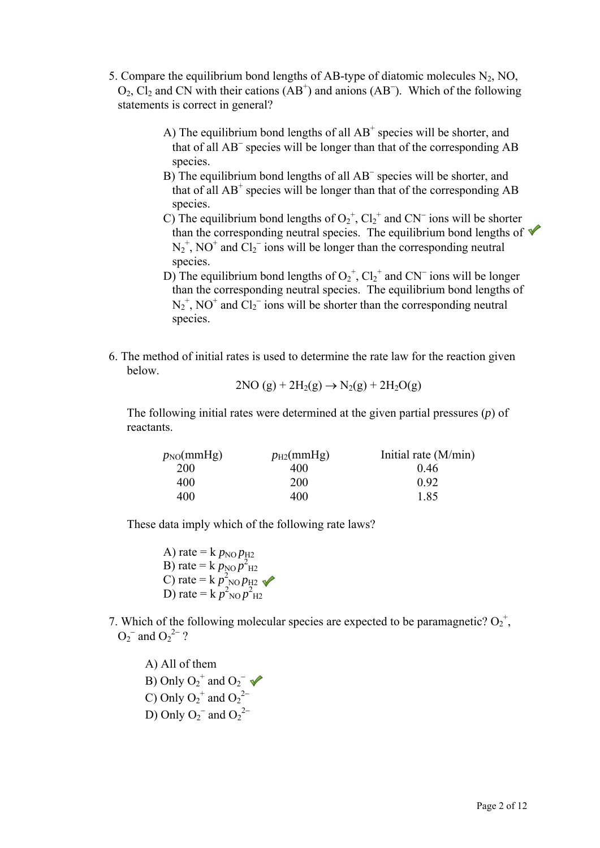- 5. Compare the equilibrium bond lengths of AB-type of diatomic molecules  $N_2$ , NO,  $O_2$ ,  $Cl_2$  and CN with their cations (AB<sup>+</sup>) and anions (AB<sup>-</sup>). Which of the following statements is correct in general?
	- A) The equilibrium bond lengths of all  $AB^+$  species will be shorter, and that of all AB<sup>−</sup> species will be longer than that of the corresponding AB species.
	- B) The equilibrium bond lengths of all AB<sup>−</sup> species will be shorter, and that of all  $AB^+$  species will be longer than that of the corresponding  $AB$ species.
	- C) The equilibrium bond lengths of  $O_2^+$ ,  $Cl_2^+$  and CN<sup>-</sup> ions will be shorter than the corresponding neutral species. The equilibrium bond lengths of  $\blacktriangledown$  $N_2^+$ , NO<sup>+</sup> and Cl<sub>2</sub><sup>-</sup> ions will be longer than the corresponding neutral species.
	- D) The equilibrium bond lengths of  $O_2^+$ ,  $Cl_2^+$  and CN<sup>-</sup> ions will be longer than the corresponding neutral species. The equilibrium bond lengths of  $N_2^+$ , NO<sup>+</sup> and Cl<sub>2</sub><sup>-</sup> ions will be shorter than the corresponding neutral species.
- 6. The method of initial rates is used to determine the rate law for the reaction given below.

$$
2NO(g) + 2H2(g) \rightarrow N2(g) + 2H2O(g)
$$

The following initial rates were determined at the given partial pressures (*p*) of reactants.

| $p_{NO}(mmHg)$ | $p_{\text{H2}}$ (mmHg) | Initial rate $(M/min)$ |
|----------------|------------------------|------------------------|
| <b>200</b>     | 400                    | 046                    |
| 400            | 200                    | 0.92                   |
| 400            | 400                    | 185                    |

These data imply which of the following rate laws?

A) rate =  $k p_{\text{NO}} p_{\text{H2}}$ B) rate =  $k p_{\text{NO}} p^2_{\text{H2}}$ C) rate =  $k p_{\text{NO}}^2 p_{\text{H2}}^2$ D) rate =  $k \, p_{\text{NO}}^2 p_{\text{H2}}^2$ 

7. Which of the following molecular species are expected to be paramagnetic?  $O_2^+$ ,  $O_2^-$  and  $O_2^2^-$  ?

A) All of them B) Only  $O_2^+$  and  $O_2^-$ C) Only  $O_2^+$  and  $O_2^{\,2-}$ D) Only  $O_2^-$  and  $O_2^2^-$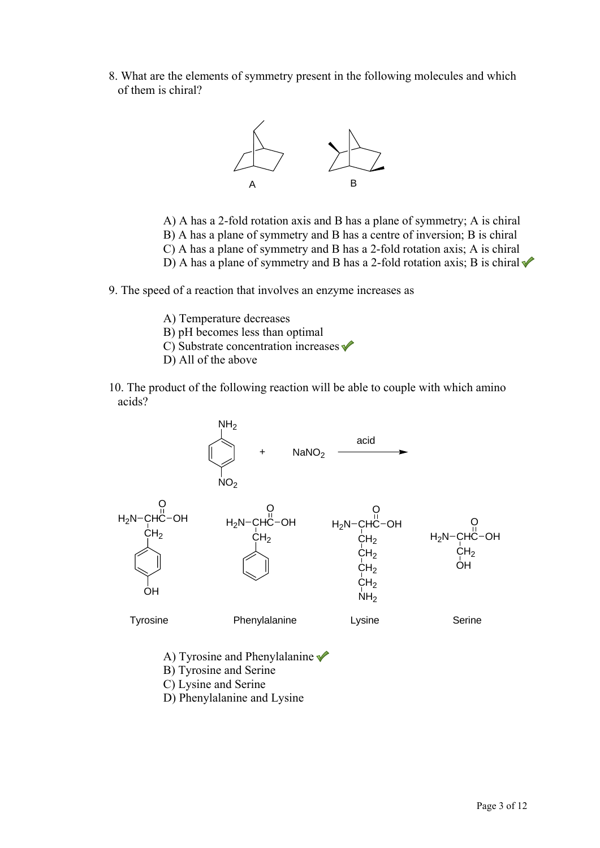8. What are the elements of symmetry present in the following molecules and which of them is chiral?



- A) A has a 2-fold rotation axis and B has a plane of symmetry; A is chiral B) A has a plane of symmetry and B has a centre of inversion; B is chiral
- C) A has a plane of symmetry and B has a 2-fold rotation axis; A is chiral
- D) A has a plane of symmetry and B has a 2-fold rotation axis; B is chiral
- 9. The speed of a reaction that involves an enzyme increases as
	- A) Temperature decreases
	- B) pH becomes less than optimal
	- C) Substrate concentration increases  $\checkmark$
	- D) All of the above
- 10. The product of the following reaction will be able to couple with which amino acids?



- A) Tyrosine and Phenylalanine
- B) Tyrosine and Serine
- C) Lysine and Serine
- D) Phenylalanine and Lysine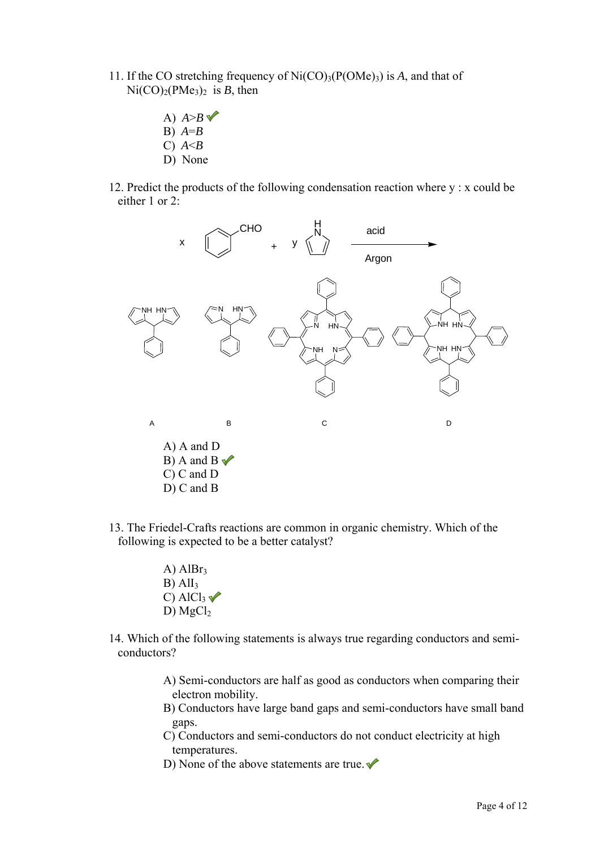- 11. If the CO stretching frequency of  $Ni(CO)_{3}(P(OMe))$  is *A*, and that of  $Ni(CO)<sub>2</sub>(PMe<sub>3</sub>)<sub>2</sub>$  is *B*, then
	- A)  $A > B \sqrt{ }$
	- B) *A*=*B*
	- C) *A*<*B* D) None
- 12. Predict the products of the following condensation reaction where y : x could be either 1 or 2:



- 13. The Friedel-Crafts reactions are common in organic chemistry. Which of the following is expected to be a better catalyst?
	- A)  $AlBr<sub>3</sub>$  $B)$  AlI<sub>3</sub> C) Al $Cl_3$ D)  $MgCl<sub>2</sub>$
- 14. Which of the following statements is always true regarding conductors and semiconductors?
	- A) Semi-conductors are half as good as conductors when comparing their electron mobility.
	- B) Conductors have large band gaps and semi-conductors have small band gaps.
	- C) Conductors and semi-conductors do not conduct electricity at high temperatures.
	- D) None of the above statements are true.  $\blacklozenge$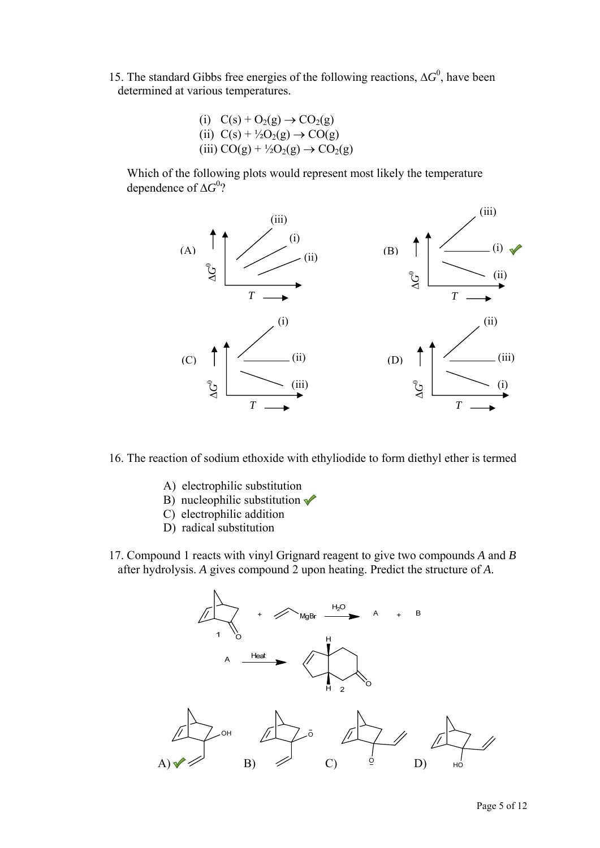- 15. The standard Gibbs free energies of the following reactions,  $\Delta G^0$ , have been determined at various temperatures.
	- (i)  $C(s) + O_2(g) \rightarrow CO_2(g)$ (ii)  $C(s) + \frac{1}{2}O_2(g) \rightarrow CO(g)$ (iii)  $CO(g) + \frac{1}{2}O_2(g) \rightarrow CO_2(g)$

Which of the following plots would represent most likely the temperature dependence of Δ*G*<sup>0</sup>?



16. The reaction of sodium ethoxide with ethyliodide to form diethyl ether is termed

- A) electrophilic substitution
- B) nucleophilic substitution  $\checkmark$
- C) electrophilic addition
- D) radical substitution
- 17. Compound 1 reacts with vinyl Grignard reagent to give two compounds *A* and *B* after hydrolysis. *A* gives compound 2 upon heating. Predict the structure of *A*.

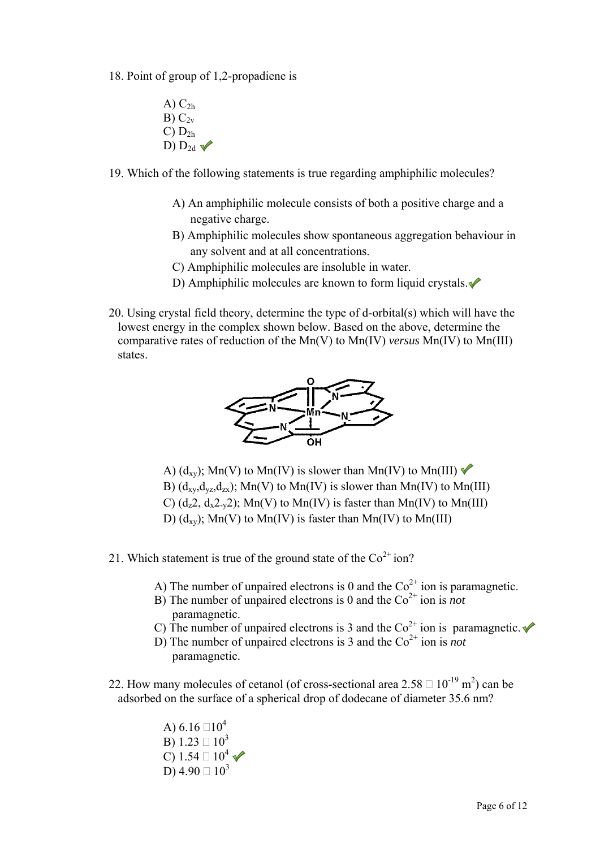- 18. Point of group of 1,2-propadiene is
	- $A)$   $C_{2h}$  $B) C_{2v}$  $C$ )  $D_{2h}$ D)  $D_{2d}$
- 19. Which of the following statements is true regarding amphiphilic molecules?
	- A) An amphiphilic molecule consists of both a positive charge and a negative charge.
	- B) Amphiphilic molecules show spontaneous aggregation behaviour in any solvent and at all concentrations.
	- C) Amphiphilic molecules are insoluble in water.
	- D) Amphiphilic molecules are known to form liquid crystals. $\triangle$
- 20. Using crystal field theory, determine the type of d-orbital(s) which will have the lowest energy in the complex shown below. Based on the above, determine the comparative rates of reduction of the Mn(V) to Mn(IV) *versus* Mn(IV) to Mn(III) states.



- A)  $(d_{xy})$ ; Mn(V) to Mn(IV) is slower than Mn(IV) to Mn(III) B)  $(d_{xy}, d_{yz}, d_{zx})$ ; Mn(V) to Mn(IV) is slower than Mn(IV) to Mn(III) C)  $(d_z 2, d_x 2_y 2)$ ; Mn(V) to Mn(IV) is faster than Mn(IV) to Mn(III) D)  $(d_{xy})$ ; Mn(V) to Mn(IV) is faster than Mn(IV) to Mn(III)
- 21. Which statement is true of the ground state of the  $Co<sup>2+</sup> ion$ ?
	- A) The number of unpaired electrons is 0 and the  $\text{Co}^{2+}$  ion is paramagnetic.
	- B) The number of unpaired electrons is 0 and the  $\text{Co}^{2+}$  ion is *not* paramagnetic.
	- C) The number of unpaired electrons is 3 and the  $Co^{2+}$  ion is paramagnetic.
	- D) The number of unpaired electrons is 3 and the  $Co<sup>2+</sup>$  ion is *not* paramagnetic.
- 22. How many molecules of cetanol (of cross-sectional area  $2.58 \square 10^{-19}$  m<sup>2</sup>) can be adsorbed on the surface of a spherical drop of dodecane of diameter 35.6 nm?
	- A)  $6.16 \square 10^4$ B)  $1.23 \square 10^3$ C)  $1.54 \square 10^4$ D)  $4.90 \square 10^3$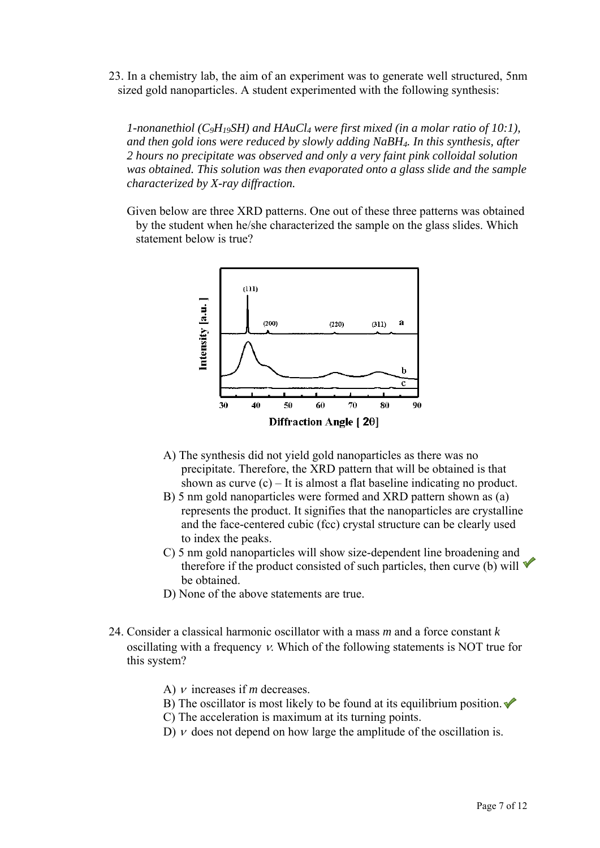23. In a chemistry lab, the aim of an experiment was to generate well structured, 5nm sized gold nanoparticles. A student experimented with the following synthesis:

*1-nonanethiol (C<sub>9</sub>H<sub>19</sub>SH) and HAuCl<sub>4</sub> were first mixed (in a molar ratio of 10:1), and then gold ions were reduced by slowly adding NaBH4. In this synthesis, after 2 hours no precipitate was observed and only a very faint pink colloidal solution was obtained. This solution was then evaporated onto a glass slide and the sample characterized by X-ray diffraction.* 

Given below are three XRD patterns. One out of these three patterns was obtained by the student when he/she characterized the sample on the glass slides. Which statement below is true?



- A) The synthesis did not yield gold nanoparticles as there was no precipitate. Therefore, the XRD pattern that will be obtained is that shown as curve  $(c)$  – It is almost a flat baseline indicating no product.
- B) 5 nm gold nanoparticles were formed and XRD pattern shown as (a) represents the product. It signifies that the nanoparticles are crystalline and the face-centered cubic (fcc) crystal structure can be clearly used to index the peaks.
- C) 5 nm gold nanoparticles will show size-dependent line broadening and therefore if the product consisted of such particles, then curve (b) will  $\blacktriangledown$ be obtained.
- D) None of the above statements are true.
- 24. Consider a classical harmonic oscillator with a mass *m* and a force constant *k* oscillating with a frequency ν. Which of the following statements is NOT true for this system?
	- A) ν increases if *m* decreases.
	- B) The oscillator is most likely to be found at its equilibrium position.  $\blacklozenge$
	- C) The acceleration is maximum at its turning points.
	- D)  $\nu$  does not depend on how large the amplitude of the oscillation is.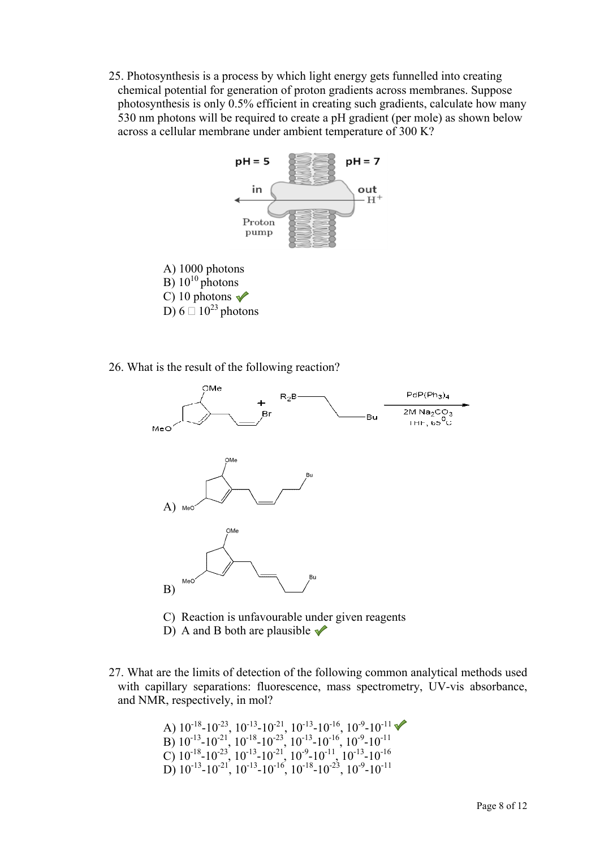25. Photosynthesis is a process by which light energy gets funnelled into creating chemical potential for generation of proton gradients across membranes. Suppose photosynthesis is only 0.5% efficient in creating such gradients, calculate how many 530 nm photons will be required to create a pH gradient (per mole) as shown below across a cellular membrane under ambient temperature of 300 K?



26. What is the result of the following reaction?



- C) Reaction is unfavourable under given reagents
- D) A and B both are plausible  $\sqrt{\ }$
- 27. What are the limits of detection of the following common analytical methods used with capillary separations: fluorescence, mass spectrometry, UV-vis absorbance, and NMR, respectively, in mol?

A) 
$$
10^{-18}
$$
- $10^{-23}$ ,  $10^{-13}$ - $10^{-21}$ ,  $10^{-13}$ - $10^{-16}$ ,  $10^{-9}$ - $10^{-11}$   
\nB)  $10^{-13}$ - $10^{-21}$ ,  $10^{-18}$ - $10^{-23}$ ,  $10^{-13}$ - $10^{-16}$ ,  $10^{-9}$ - $10^{-11}$   
\nC)  $10^{-18}$ - $10^{-23}$ ,  $10^{-13}$ - $10^{-21}$ ,  $10^{-9}$ - $10^{-11}$ ,  $10^{-13}$ - $10^{-16}$   
\nD)  $10^{-13}$ - $10^{-21}$ ,  $10^{-13}$ - $10^{-16}$ ,  $10^{-18}$ - $10^{-23}$ ,  $10^{-9}$ - $10^{-11}$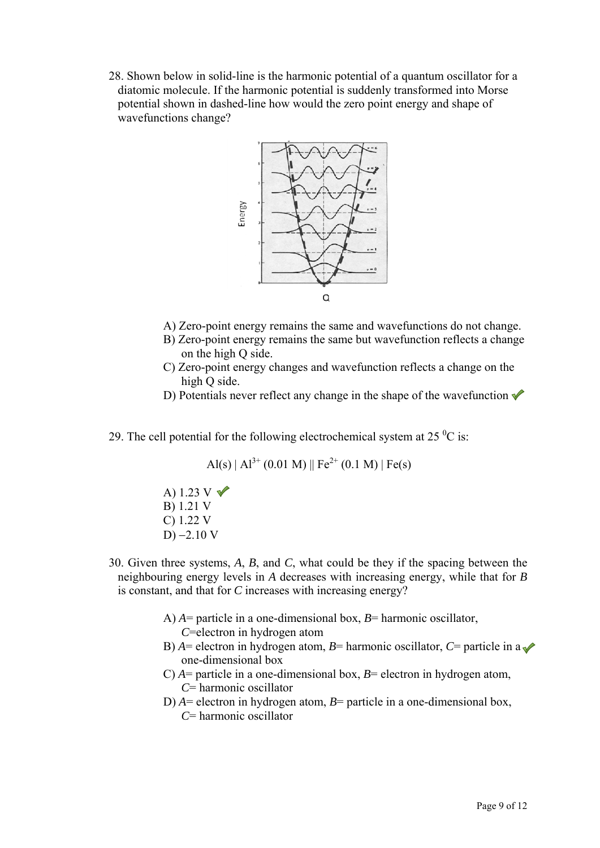28. Shown below in solid-line is the harmonic potential of a quantum oscillator for a diatomic molecule. If the harmonic potential is suddenly transformed into Morse potential shown in dashed-line how would the zero point energy and shape of wavefunctions change?



- A) Zero-point energy remains the same and wavefunctions do not change.
- B) Zero-point energy remains the same but wavefunction reflects a change on the high Q side.
- C) Zero-point energy changes and wavefunction reflects a change on the high Q side.
- D) Potentials never reflect any change in the shape of the wavefunction  $\checkmark$
- 29. The cell potential for the following electrochemical system at 25 $\mathrm{^{0}C}$  is:

 $A(s) | A^{3+} (0.01 M) || Fe^{2+} (0.1 M) | Fe(s)$ 

A)  $1.23$  V B) 1.21 V C) 1.22 V D)  $-2.10$  V

- 30. Given three systems, *A*, *B*, and *C*, what could be they if the spacing between the neighbouring energy levels in *A* decreases with increasing energy, while that for *B* is constant, and that for *C* increases with increasing energy?
	- A) *A*= particle in a one-dimensional box, *B*= harmonic oscillator, *C*=electron in hydrogen atom
	- B)  $A =$  electron in hydrogen atom,  $B =$  harmonic oscillator,  $C =$  particle in a one-dimensional box
	- C) *A*= particle in a one-dimensional box, *B*= electron in hydrogen atom, *C*= harmonic oscillator
	- D) *A*= electron in hydrogen atom, *B*= particle in a one-dimensional box, *C*= harmonic oscillator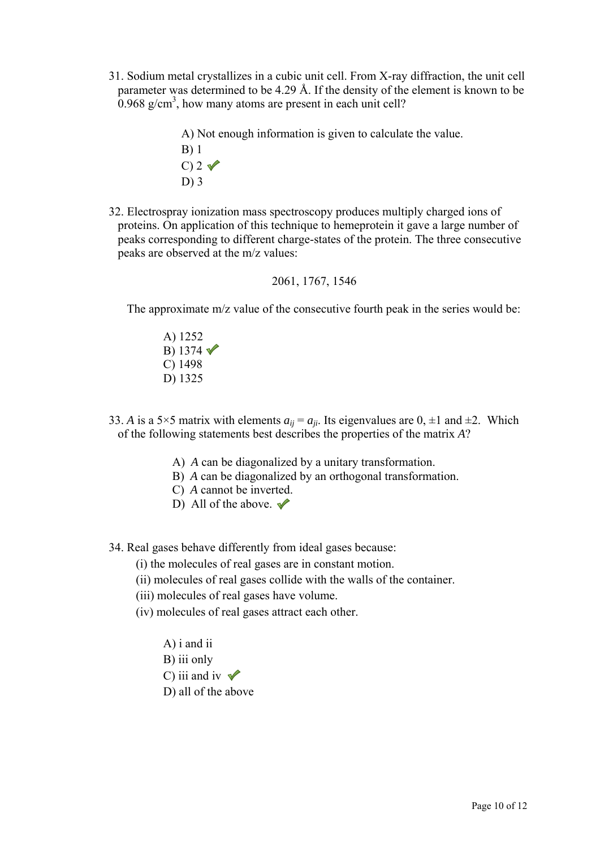- 31. Sodium metal crystallizes in a cubic unit cell. From X-ray diffraction, the unit cell parameter was determined to be 4.29 Å. If the density of the element is known to be  $0.968$  g/cm<sup>3</sup>, how many atoms are present in each unit cell?
	- A) Not enough information is given to calculate the value.
	- B) 1  $C$ ) 2  $\sqrt{ }$ D) 3
- 32. Electrospray ionization mass spectroscopy produces multiply charged ions of proteins. On application of this technique to hemeprotein it gave a large number of peaks corresponding to different charge-states of the protein. The three consecutive peaks are observed at the m/z values:

2061, 1767, 1546

The approximate m/z value of the consecutive fourth peak in the series would be:

- A) 1252 B) 1374 $\sqrt{ }$ C) 1498 D) 1325
- 33. *A* is a 5×5 matrix with elements  $a_{ii} = a_{ii}$ . Its eigenvalues are 0,  $\pm 1$  and  $\pm 2$ . Which of the following statements best describes the properties of the matrix *A*?
	- A) *A* can be diagonalized by a unitary transformation.
	- B) *A* can be diagonalized by an orthogonal transformation.
	- C) *A* cannot be inverted.
	- D) All of the above.  $\blacktriangleright$

34. Real gases behave differently from ideal gases because:

(i) the molecules of real gases are in constant motion.

- (ii) molecules of real gases collide with the walls of the container.
- (iii) molecules of real gases have volume.
- (iv) molecules of real gases attract each other.
	- A) i and ii B) iii only C) iii and iv  $\sqrt{\ }$
	- D) all of the above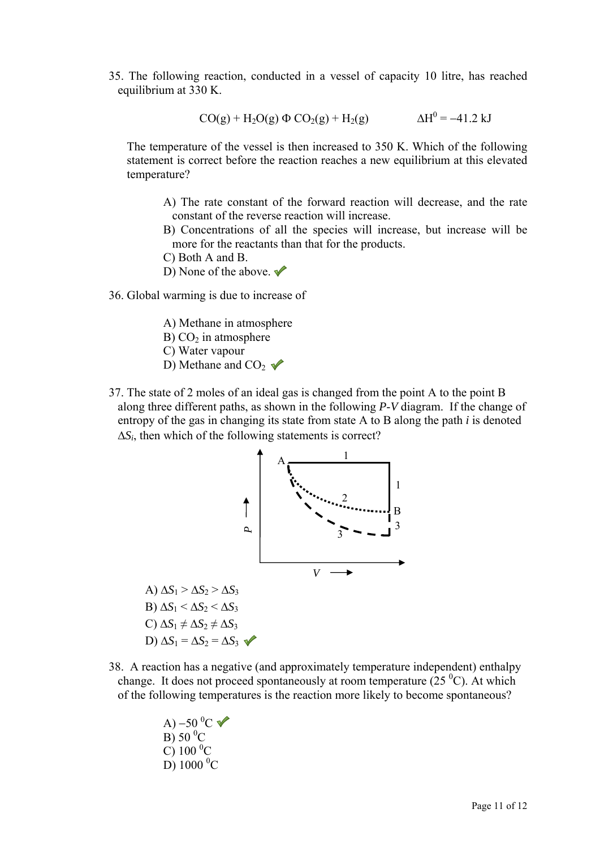35. The following reaction, conducted in a vessel of capacity 10 litre, has reached equilibrium at 330 K.

$$
CO(g) + H_2O(g) \Phi CO_2(g) + H_2(g)
$$
  $\Delta H^0 = -41.2 \text{ kJ}$ 

The temperature of the vessel is then increased to 350 K. Which of the following statement is correct before the reaction reaches a new equilibrium at this elevated temperature?

A) The rate constant of the forward reaction will decrease, and the rate constant of the reverse reaction will increase.

- B) Concentrations of all the species will increase, but increase will be more for the reactants than that for the products.
- C) Both A and B.
- D) None of the above.  $\blacktriangleright$
- 36. Global warming is due to increase of
	- A) Methane in atmosphere
	- B)  $CO<sub>2</sub>$  in atmosphere
	- C) Water vapour
	- D) Methane and  $CO<sub>2</sub>$
- 37. The state of 2 moles of an ideal gas is changed from the point A to the point B along three different paths, as shown in the following *P*-*V* diagram. If the change of entropy of the gas in changing its state from state A to B along the path *i* is denoted Δ*Si*, then which of the following statements is correct?



- 38. A reaction has a negative (and approximately temperature independent) enthalpy change. It does not proceed spontaneously at room temperature  $(25<sup>0</sup>C)$ . At which of the following temperatures is the reaction more likely to become spontaneous?
	- A) –50 $^0C$  $\overline{B}$ ) 50 $\overline{C}$  $\overline{C}$ ) 100 <sup>0</sup>C  $\overline{D}$ ) 1000 <sup>0</sup>C